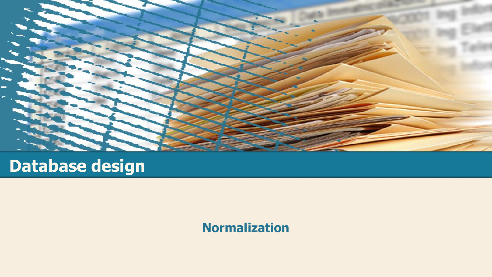

# **Database design**

#### **Normalization**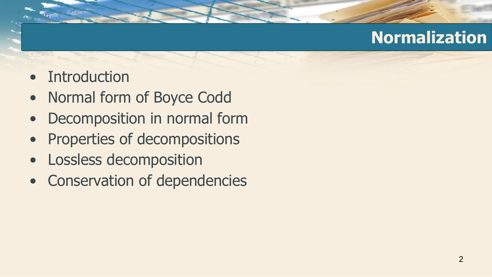- Introduction
- Normal form of Boyce Codd
- Decomposition in normal form
- Properties of decompositions
- Lossless decomposition
- Conservation of dependencies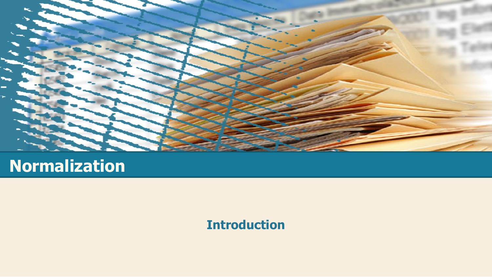

**Introduction**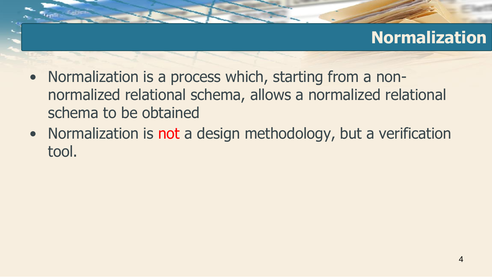- Normalization is a process which, starting from a nonnormalized relational schema, allows a normalized relational schema to be obtained
- Normalization is not a design methodology, but a verification tool.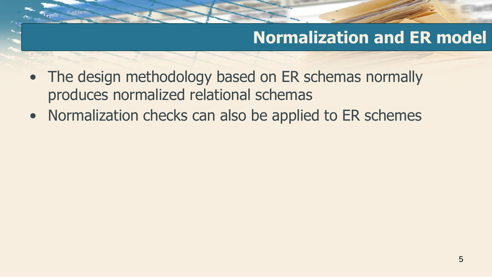### **Normalization and ER model**

- The design methodology based on ER schemas normally produces normalized relational schemas
- Normalization checks can also be applied to ER schemes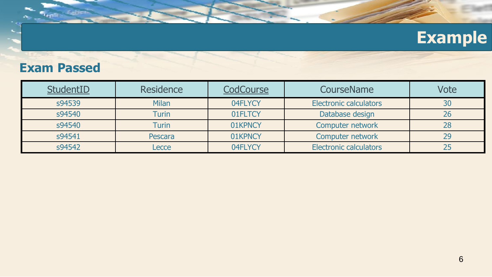# **Example**

#### **Exam Passed**

| StudentID | <b>Residence</b> | <b>CodCourse</b> | CourseName                    | Vote |
|-----------|------------------|------------------|-------------------------------|------|
| s94539    | <b>Milan</b>     | 04FLYCY          | <b>Electronic calculators</b> | 30   |
| s94540    | <b>Turin</b>     | 01FLTCY          | Database design               | 26   |
| s94540    | <b>Turin</b>     | 01KPNCY          | Computer network<br>28        |      |
| s94541    | Pescara          | 01KPNCY          | Computer network<br>29        |      |
| s94542    | Lecce            | 04FLYCY          | <b>Electronic calculators</b> |      |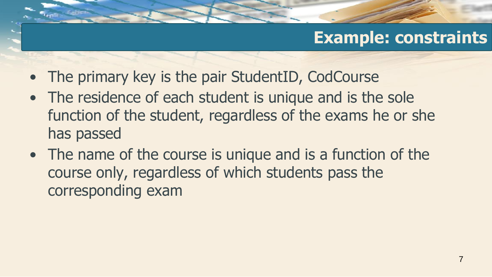#### **Example: constraints**

- The primary key is the pair StudentID, CodCourse
- The residence of each student is unique and is the sole function of the student, regardless of the exams he or she has passed
- The name of the course is unique and is a function of the course only, regardless of which students pass the corresponding exam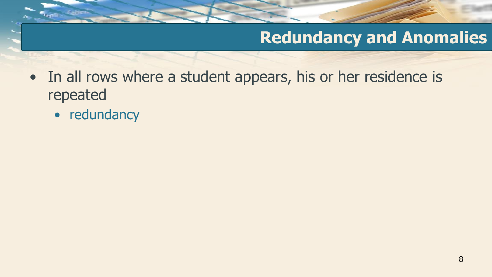- In all rows where a student appears, his or her residence is repeated
	- redundancy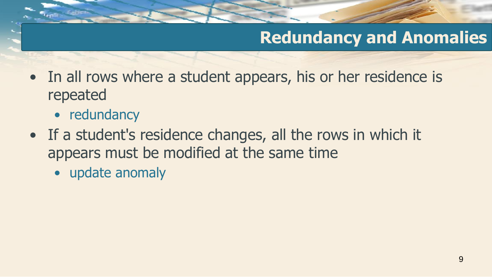- In all rows where a student appears, his or her residence is repeated
	- redundancy
- If a student's residence changes, all the rows in which it appears must be modified at the same time
	- update anomaly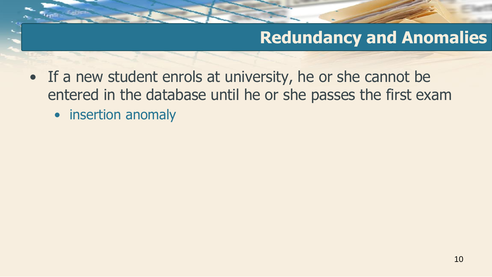- If a new student enrols at university, he or she cannot be entered in the database until he or she passes the first exam
	- insertion anomaly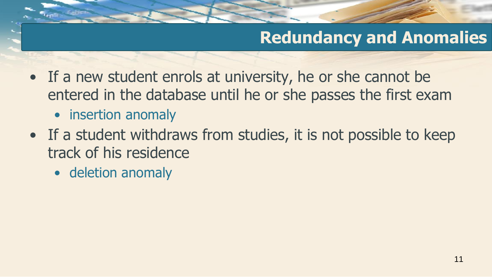- If a new student enrols at university, he or she cannot be entered in the database until he or she passes the first exam
	- insertion anomaly
- If a student withdraws from studies, it is not possible to keep track of his residence
	- deletion anomaly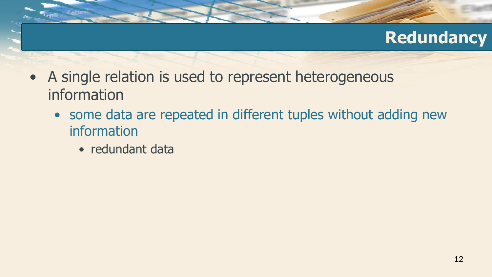#### **Redundancy**

- A single relation is used to represent heterogeneous information
	- some data are repeated in different tuples without adding new information
		- redundant data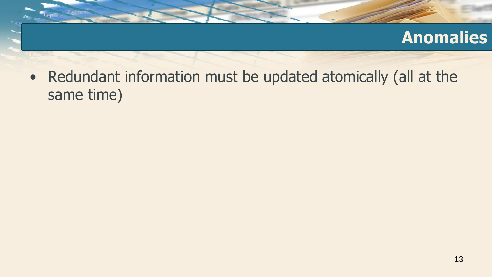#### **Anomalies**

• Redundant information must be updated atomically (all at the same time)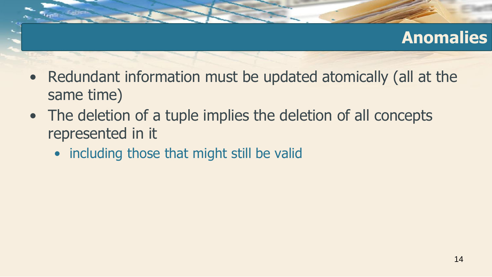### **Anomalies**

- Redundant information must be updated atomically (all at the same time)
- The deletion of a tuple implies the deletion of all concepts represented in it
	- including those that might still be valid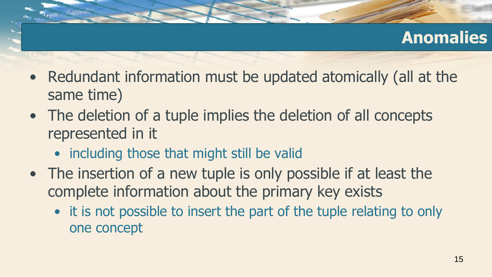### **Anomalies**

- Redundant information must be updated atomically (all at the same time)
- The deletion of a tuple implies the deletion of all concepts represented in it
	- including those that might still be valid
- The insertion of a new tuple is only possible if at least the complete information about the primary key exists
	- it is not possible to insert the part of the tuple relating to only one concept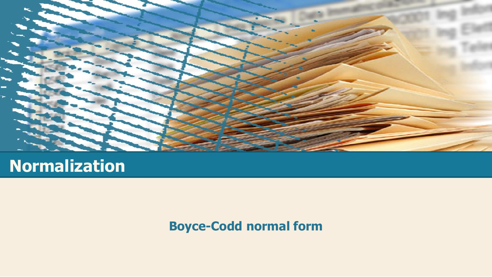

#### **Boyce-Codd normal form**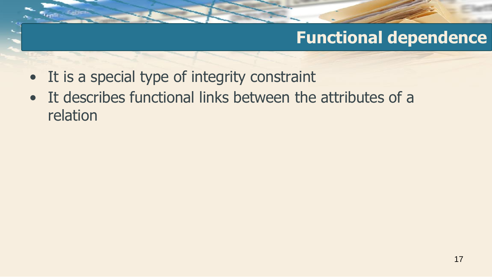- It is a special type of integrity constraint
- It describes functional links between the attributes of a relation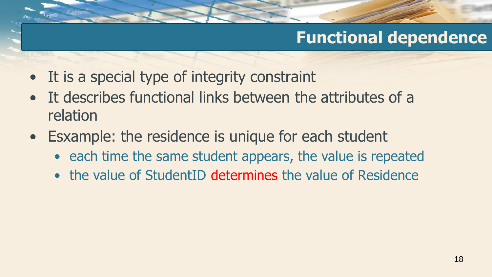- It is a special type of integrity constraint
- It describes functional links between the attributes of a relation
- Esxample: the residence is unique for each student
	- each time the same student appears, the value is repeated
	- the value of StudentID determines the value of Residence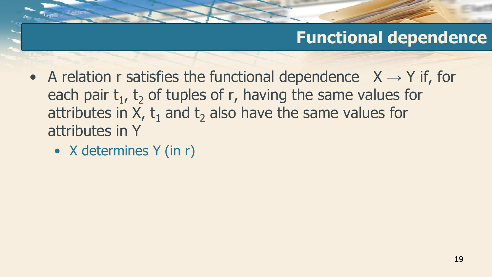- A relation r satisfies the functional dependence  $X \rightarrow Y$  if, for each pair  $t_1$ ,  $t_2$  of tuples of r, having the same values for attributes in  $X$ ,  $t_1$  and  $t_2$  also have the same values for attributes in Y
	- X determines Y (in r)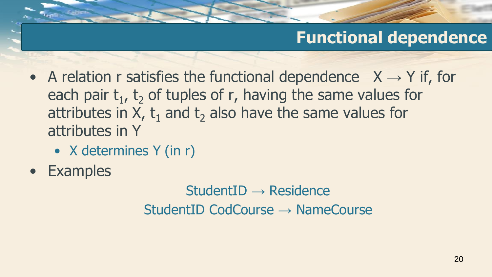- A relation r satisfies the functional dependence  $X \rightarrow Y$  if, for each pair  $t_1$ ,  $t_2$  of tuples of r, having the same values for attributes in  $X$ ,  $t_1$  and  $t_2$  also have the same values for attributes in Y
	- X determines Y (in r)
- Examples

StudentID → Residence StudentID CodCourse → NameCourse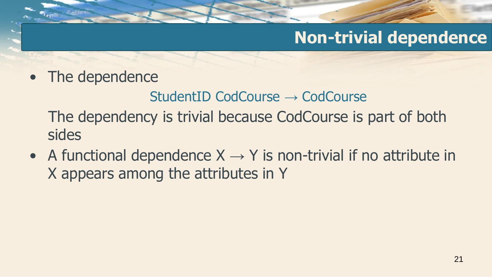#### **Non-trivial dependence**

• The dependence

StudentID CodCourse → CodCourse

The dependency is trivial because CodCourse is part of both sides

• A functional dependence  $X \rightarrow Y$  is non-trivial if no attribute in X appears among the attributes in Y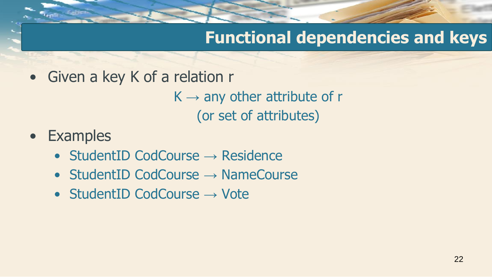### **Functional dependencies and keys**

• Given a key K of a relation r

 $K \rightarrow$  any other attribute of r (or set of attributes)

- Examples
	- StudentID CodCourse → Residence
	- StudentID CodCourse  $\rightarrow$  NameCourse
	- StudentID CodCourse → Vote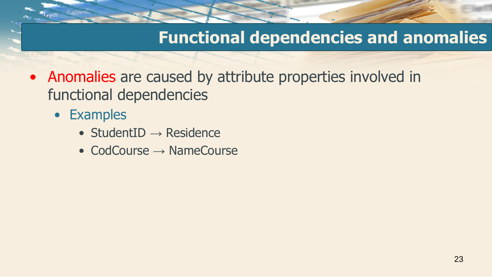- Anomalies are caused by attribute properties involved in functional dependencies
	- Examples
		- StudentID  $\rightarrow$  Residence
		- CodCourse  $\rightarrow$  NameCourse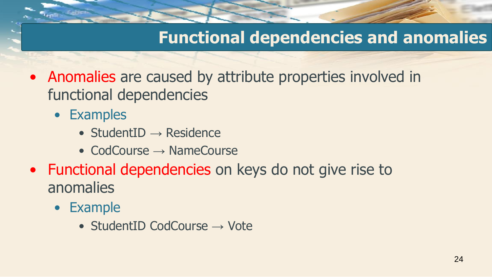- Anomalies are caused by attribute properties involved in functional dependencies
	- Examples
		- StudentID  $\rightarrow$  Residence
		- CodCourse  $\rightarrow$  NameCourse
- Functional dependencies on keys do not give rise to anomalies
	- Example
		- StudentID CodCourse → Vote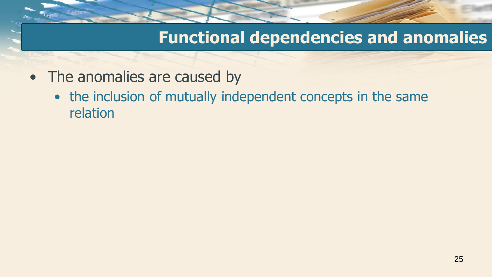- The anomalies are caused by
	- the inclusion of mutually independent concepts in the same relation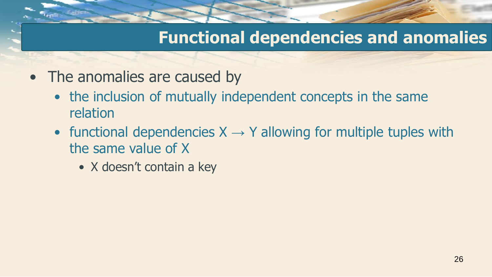- The anomalies are caused by
	- the inclusion of mutually independent concepts in the same relation
	- functional dependencies  $X \rightarrow Y$  allowing for multiple tuples with the same value of X
		- X doesn't contain a key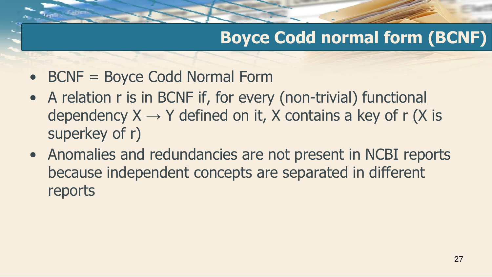# **Boyce Codd normal form (BCNF)**

- BCNF = Boyce Codd Normal Form
- A relation r is in BCNF if, for every (non-trivial) functional dependency  $X \rightarrow Y$  defined on it, X contains a key of r (X is superkey of r)
- Anomalies and redundancies are not present in NCBI reports because independent concepts are separated in different reports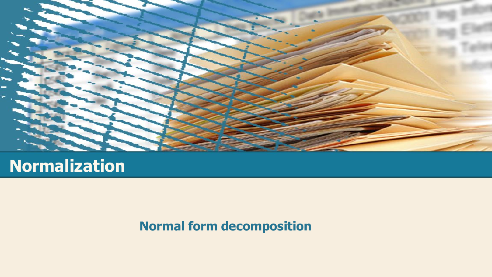

#### **Normal form decomposition**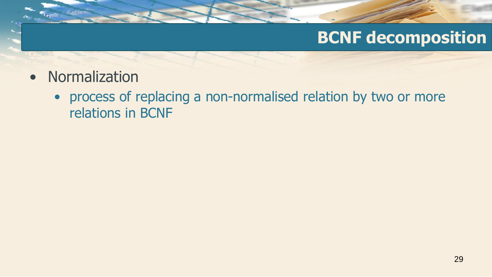#### **BCNF decomposition**

- Normalization
	- process of replacing a non-normalised relation by two or more relations in BCNF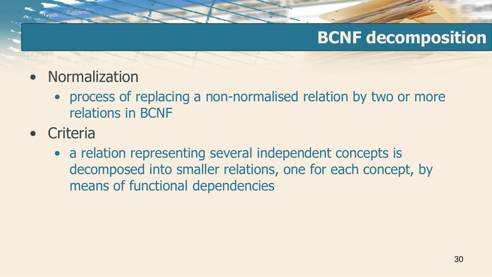# **BCNF decomposition**

- Normalization
	- process of replacing a non-normalised relation by two or more relations in BCNF
- Criteria
	- a relation representing several independent concepts is decomposed into smaller relations, one for each concept, by means of functional dependencies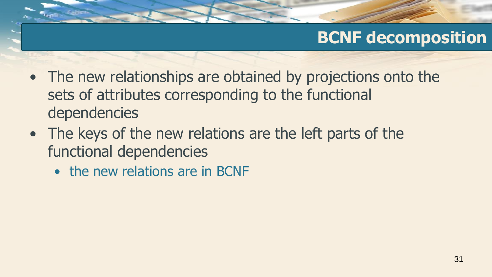# **BCNF decomposition**

- The new relationships are obtained by projections onto the sets of attributes corresponding to the functional dependencies
- The keys of the new relations are the left parts of the functional dependencies
	- the new relations are in BCNF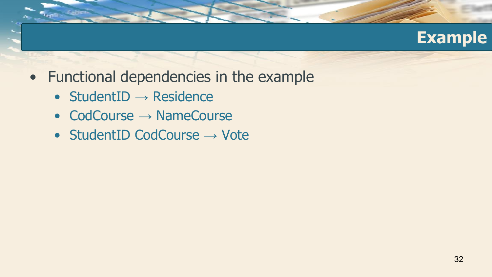

- Functional dependencies in the example
	- StudentID  $\rightarrow$  Residence
	- CodCourse → NameCourse
	- StudentID CodCourse  $\rightarrow$  Vote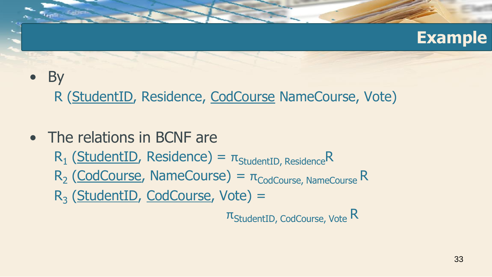#### **Example**

### • By

R (StudentID, Residence, CodCourse NameCourse, Vote)

• The relations in BCNF are  $R_1$  (StudentID, Residence) =  $\pi_{\text{StudentID, Residence}}$ R  $R_2$  (CodCourse, NameCourse) =  $\pi_{\text{codCourse, NameCourse}}$ R R<sub>3</sub> (StudentID, CodCourse, Vote) =  $\pi$ StudentID, CodCourse, Vote R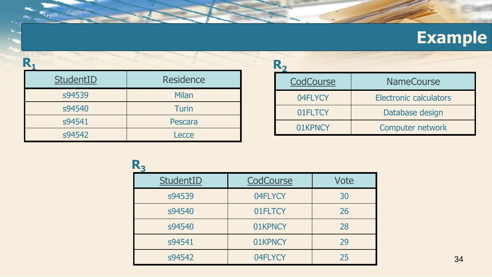# **Example**

| StudentID | <b>Residence</b> |  |
|-----------|------------------|--|
| s94539    | <b>Milan</b>     |  |
| s94540    | <b>Turin</b>     |  |
| s94541    | Pescara          |  |
| s94542    | Lecce            |  |

| CodCourse | <b>NameCourse</b>             |  |  |  |  |
|-----------|-------------------------------|--|--|--|--|
| 04FLYCY   | <b>Electronic calculators</b> |  |  |  |  |
| 01FLTCY   | Database design               |  |  |  |  |
| 01KPNCY   | Computer network              |  |  |  |  |

| StudentID | CodCourse | <b>Vote</b> |
|-----------|-----------|-------------|
| s94539    | 04FLYCY   | 30          |
| s94540    | 01FLTCY   | 26          |
| s94540    | 01KPNCY   | 28          |
| s94541    | 01KPNCY   | 29          |
| s94542    | 04FLYCY   | 25          |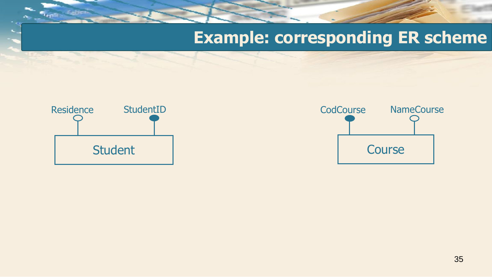#### **Example: corresponding ER scheme**



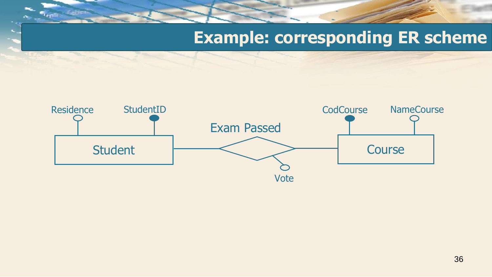#### **Example: corresponding ER scheme**

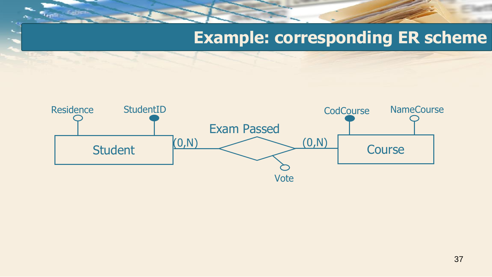#### **Example: corresponding ER scheme**

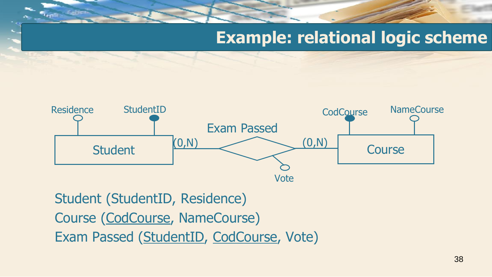#### **Example: relational logic scheme**



Student (StudentID, Residence) Course (CodCourse, NameCourse) Exam Passed (StudentID, CodCourse, Vote)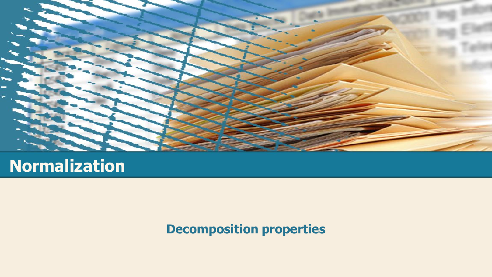

#### **Normalization**

**Decomposition properties**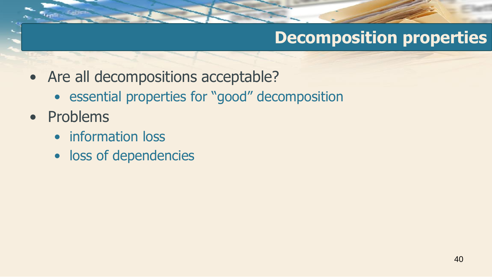# **Decomposition properties**

- Are all decompositions acceptable?
	- essential properties for "good" decomposition
- Problems
	- information loss
	- loss of dependencies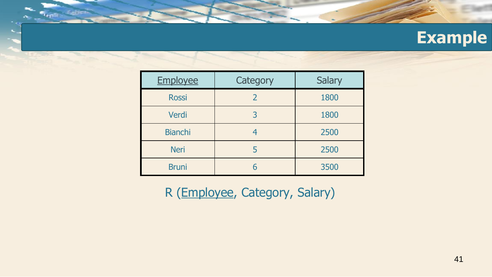| <b>Employee</b> | Category | <b>Salary</b> |
|-----------------|----------|---------------|
| <b>Rossi</b>    | 2        | 1800          |
| Verdi           | 3        | 1800          |
| <b>Bianchi</b>  | 4        | 2500          |
| <b>Neri</b>     | 5        | 2500          |
| <b>Bruni</b>    | 6        | 3500          |

R (Employee, Category, Salary)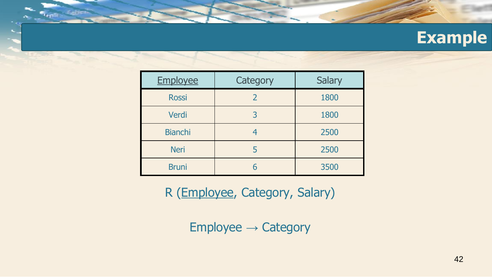| Employee       | Category | <b>Salary</b> |
|----------------|----------|---------------|
| <b>Rossi</b>   | 2        | 1800          |
| Verdi          | 3        | 1800          |
| <b>Bianchi</b> |          | 2500          |
| <b>Neri</b>    |          | 2500          |
| <b>Bruni</b>   | 6        | 3500          |

R (Employee, Category, Salary)

Employee → Category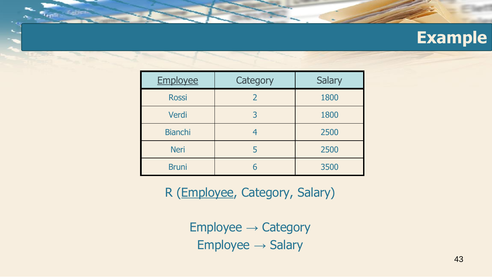| Employee       | Category | <b>Salary</b> |
|----------------|----------|---------------|
| <b>Rossi</b>   | 2        | 1800          |
| Verdi          | 3        | 1800          |
| <b>Bianchi</b> | 4        | 2500          |
| <b>Neri</b>    | 5        | 2500          |
| <b>Bruni</b>   | 6        | 3500          |

R (Employee, Category, Salary)

Employee → Category  $Employee \rightarrow Salary$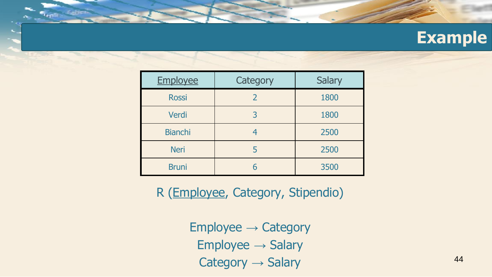| Employee       | Category | <b>Salary</b> |
|----------------|----------|---------------|
| <b>Rossi</b>   | 2        | 1800          |
| Verdi          | 3        | 1800          |
| <b>Bianchi</b> | 4        | 2500          |
| <b>Neri</b>    | 5        | 2500          |
| <b>Bruni</b>   | 6        | 3500          |

R (Employee, Category, Stipendio)

Employee → Category Employee → Salary  $Category \rightarrow Salary$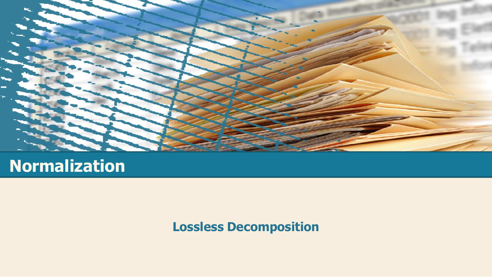

#### **Normalization**

**Lossless Decomposition**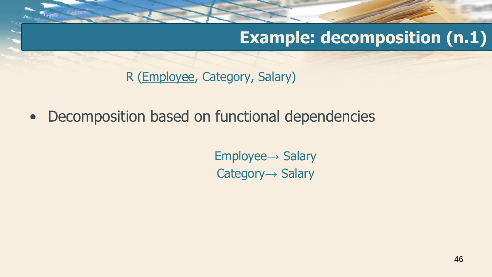R (Employee, Category, Salary)

• Decomposition based on functional dependencies

Employee→ Salary Category→ Salary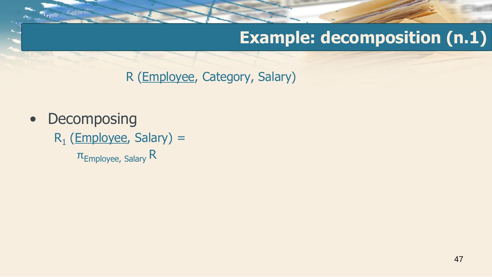R (Employee, Category, Salary)

• Decomposing  $R_1$  (Employee, Salary) =  $\pi$ <sub>Employee, Salary</sub> R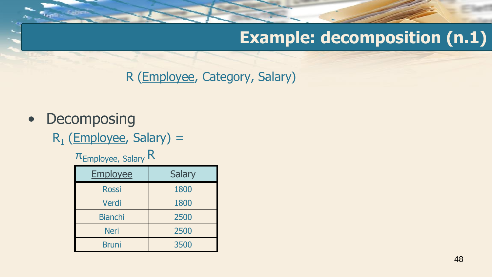R (Employee, Category, Salary)

#### • Decomposing

R<sub>1</sub> (Employee, Salary) =

#### $\pi$ Employee, Salary R

| <b>Employee</b> | <b>Salary</b> |
|-----------------|---------------|
| <b>Rossi</b>    | 1800          |
| Verdi           | 1800          |
| <b>Bianchi</b>  | 2500          |
| <b>Neri</b>     | 2500          |
| <b>Bruni</b>    | 3500          |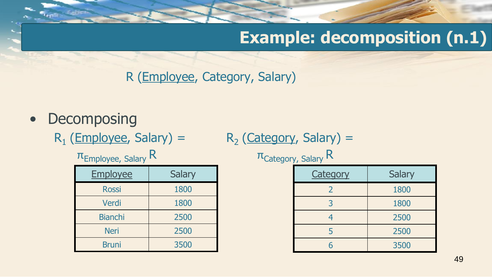R (Employee, Category, Salary)

- Decomposing
	- $R_1$  (Employee, Salary) =  $R_2$

 $R_2$  (Category, Salary) =

| <b>Employee</b> | <b>Salary</b> |
|-----------------|---------------|
| <b>Rossi</b>    | 1800          |
| Verdi           | 1800          |
| <b>Bianchi</b>  | 2500          |
| <b>Neri</b>     | 2500          |
| <b>Bruni</b>    | 3500          |

 $\pi$ <sub>Employee, Salary</sub> R  $\pi$ <sub>Category, Salary</sub> R

| <b>Category</b> | <b>Salary</b> |
|-----------------|---------------|
| 2               | 1800          |
| 3               | 1800          |
| 4               | 2500          |
| 5               | 2500          |
| հ               | 3500          |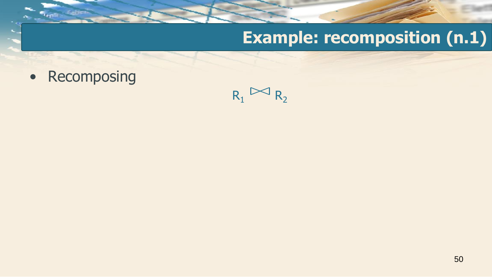• Recomposing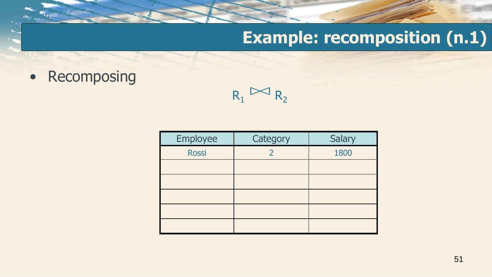• Recomposing

| Employee     | Category | Salary |
|--------------|----------|--------|
| <b>Rossi</b> |          | 1800   |
|              |          |        |
|              |          |        |
|              |          |        |
|              |          |        |
|              |          |        |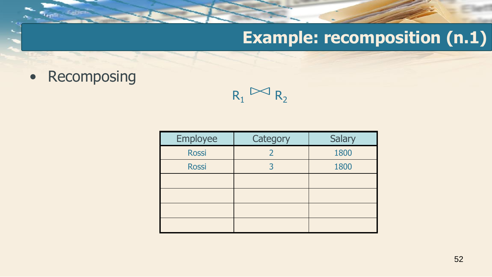• Recomposing

| Employee     | Category | <b>Salary</b> |
|--------------|----------|---------------|
| <b>Rossi</b> |          | 1800          |
| <b>Rossi</b> |          | 1800          |
|              |          |               |
|              |          |               |
|              |          |               |
|              |          |               |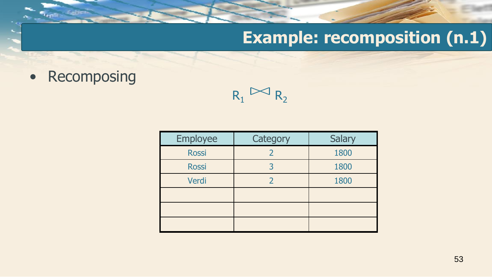• Recomposing

| Employee     | Category      | <b>Salary</b> |
|--------------|---------------|---------------|
| <b>Rossi</b> | 2             | 1800          |
| <b>Rossi</b> | 3             | 1800          |
| Verdi        | $\mathcal{L}$ | 1800          |
|              |               |               |
|              |               |               |
|              |               |               |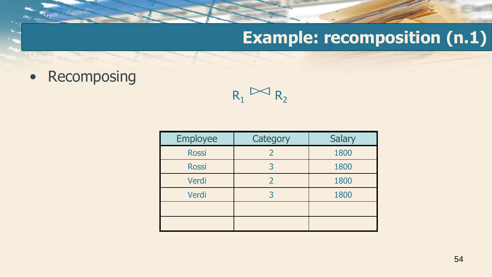• Recomposing

| Employee     | Category      | Salary |
|--------------|---------------|--------|
| <b>Rossi</b> |               | 1800   |
| <b>Rossi</b> |               | 1800   |
| Verdi        | $\mathcal{P}$ | 1800   |
| Verdi        |               | 1800   |
|              |               |        |
|              |               |        |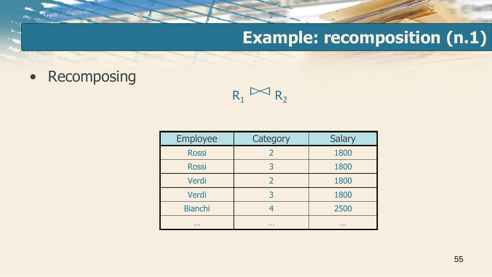• Recomposing

 $R_1 \boxtimes R_2$ 

| <b>Employee</b> | Category | <b>Salary</b> |
|-----------------|----------|---------------|
| <b>Rossi</b>    | 2        | 1800          |
| <b>Rossi</b>    | 3        | 1800          |
| Verdi           |          | 1800          |
| Verdi           |          | 1800          |
| <b>Bianchi</b>  |          | 2500          |
| .               | .        | .             |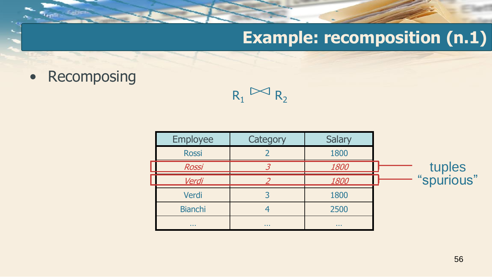• Recomposing

| Employee       | Category   | <b>Salary</b> |                      |
|----------------|------------|---------------|----------------------|
| <b>Rossi</b>   |            | 1800          |                      |
| <b>Rossi</b>   |            | 1800          |                      |
| Verdi          |            | 1800          | tuples<br>"spurious" |
| Verdi          |            | 1800          |                      |
| <b>Bianchi</b> |            | 2500          |                      |
| $\sim$ $\sim$  | $\sim 100$ | $\sim 100$    |                      |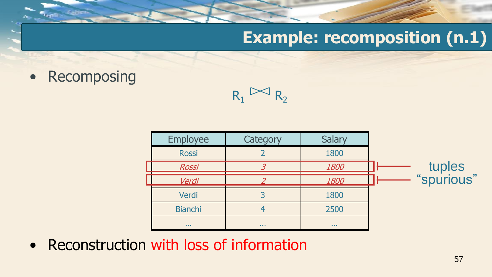• Recomposing

 $R_1 \times R_2$ 

| Employee       | Category   | Salary      |                      |
|----------------|------------|-------------|----------------------|
| <b>Rossi</b>   |            | 1800        |                      |
| <b>Rossi</b>   |            | 1800        | tuples<br>"spurious" |
| Verdi          |            | 1800        |                      |
| Verdi          |            | 1800        |                      |
| <b>Bianchi</b> |            | 2500        |                      |
| $\sim 1000$    | $\sim 100$ | $\sim 1000$ |                      |

• Reconstruction with loss of information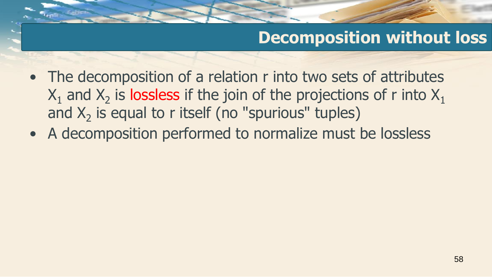## **Decomposition without loss**

- The decomposition of a relation r into two sets of attributes  $\mathsf{X}_1$  and  $\mathsf{X}_2$  is lossless if the join of the projections of r into  $\mathsf{X}_1$ and  $X_2$  is equal to r itself (no "spurious" tuples)
- A decomposition performed to normalize must be lossless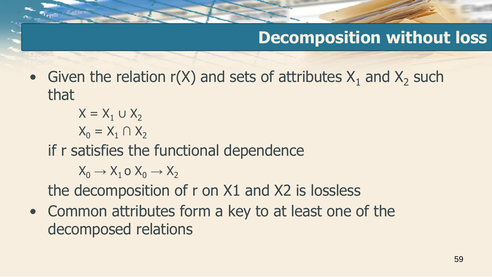## **Decomposition without loss**

• Given the relation  $r(X)$  and sets of attributes  $X_1$  and  $X_2$  such that

$$
X = X_1 \cup X_2
$$

$$
X_0 = X_1 \cap X_2
$$

if r satisfies the functional dependence

 $X_0 \rightarrow X_1$  o  $X_0 \rightarrow X_2$ 

the decomposition of r on X1 and X2 is lossless

• Common attributes form a key to at least one of the decomposed relations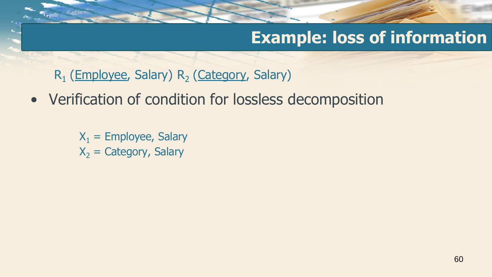#### **Example: loss of information**

R<sub>1</sub> (Employee, Salary) R<sub>2</sub> (Category, Salary)

• Verification of condition for lossless decomposition

 $X_1$  = Employee, Salary  $X_2$  = Category, Salary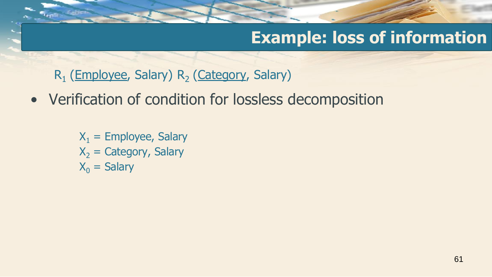## **Example: loss of information**

R<sub>1</sub> (Employee, Salary) R<sub>2</sub> (Category, Salary)

• Verification of condition for lossless decomposition

 $X_1$  = Employee, Salary  $X<sub>2</sub> =$  Category, Salary  $X_0$  = Salary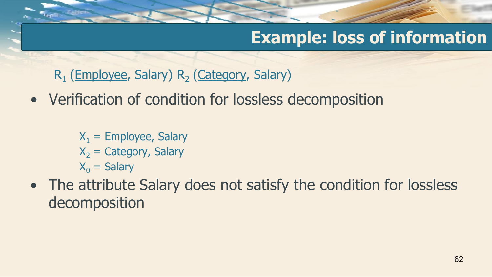## **Example: loss of information**

R<sub>1</sub> (Employee, Salary) R<sub>2</sub> (Category, Salary)

• Verification of condition for lossless decomposition

 $X_1$  = Employee, Salary  $X<sub>2</sub> =$  Category, Salary  $X_0$  = Salary

• The attribute Salary does not satisfy the condition for lossless decomposition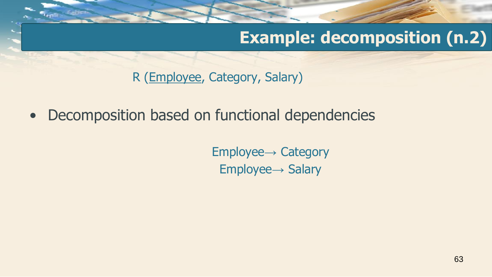R (Employee, Category, Salary)

• Decomposition based on functional dependencies

Employee→ Category Employee→ Salary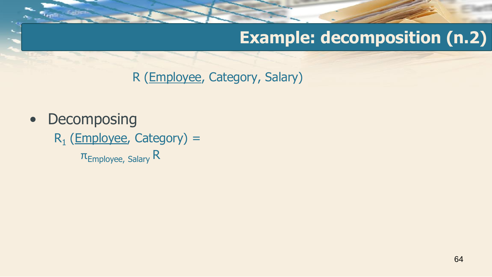R (Employee, Category, Salary)

• Decomposing R<sub>1</sub> (Employee, Category) =  $\pi$ <sub>Employee, Salary</sub> R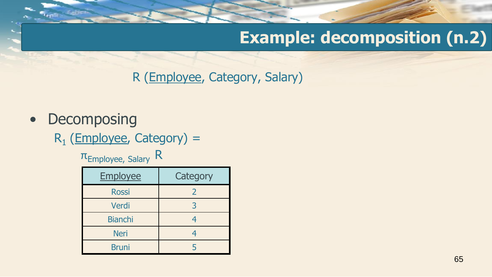R (Employee, Category, Salary)

#### • Decomposing

R<sub>1</sub> (Employee, Category) =

 $\pi$ <sub>Employee, Salary</sub> R

| <b>Employee</b> | Category      |
|-----------------|---------------|
| <b>Rossi</b>    | $\mathcal{P}$ |
| Verdi           |               |
| <b>Bianchi</b>  |               |
| <b>Neri</b>     |               |
| <b>Bruni</b>    |               |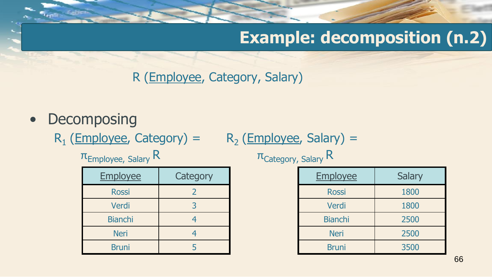R (Employee, Category, Salary)

- Decomposing
	- $R_1$  (Employee, Category) =  $R_2$  (Employee, Salary) =

 $\pi$ <sub>Employee, Salary</sub> R

| <b>Employee</b> | Category |
|-----------------|----------|
| <b>Rossi</b>    | 2        |
| Verdi           | 3        |
| <b>Bianchi</b>  |          |
| <b>Neri</b>     |          |
| <b>Bruni</b>    |          |

| $\pi_{\text{Category, Salary}}$ R |  |
|-----------------------------------|--|
|-----------------------------------|--|

| <b>Employee</b> | <b>Salary</b> |
|-----------------|---------------|
| <b>Rossi</b>    | 1800          |
| Verdi           | 1800          |
| <b>Bianchi</b>  | 2500          |
| <b>Neri</b>     | 2500          |
| <b>Bruni</b>    | 3500          |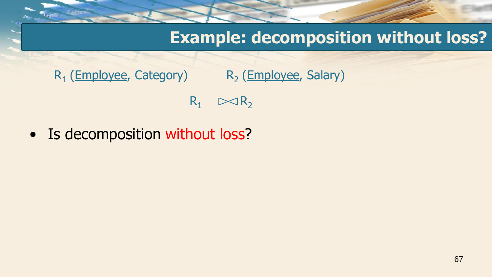#### **Example: decomposition without loss?**

 $R_1$  (Employee, Category)  $R_2$ R<sub>2</sub> (Employee, Salary)

 $R_1 \quad \bowtie R_2$ 

• Is decomposition without loss?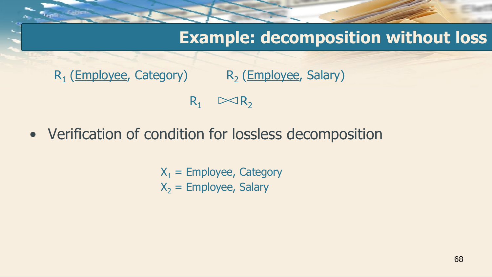#### **Example: decomposition without loss**

 $R_1$  (Employee, Category)  $R_2$ R<sub>2</sub> (Employee, Salary)  $R_1 \quad \bowtie R_2$ 

• Verification of condition for lossless decomposition

 $X_1$  = Employee, Category  $X_2$  = Employee, Salary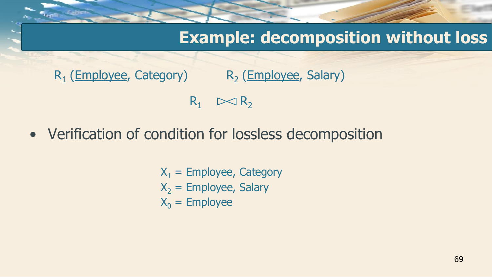#### **Example: decomposition without loss**

 $R_1$  (Employee, Category)  $R_2$ R<sub>2</sub> (Employee, Salary)  $R_1 \quad \bowtie R_2$ 

• Verification of condition for lossless decomposition

$$
X1 = \text{Employee, Category}
$$
  

$$
X2 = \text{Employee, Salary}
$$
  

$$
X0 = \text{Employee}
$$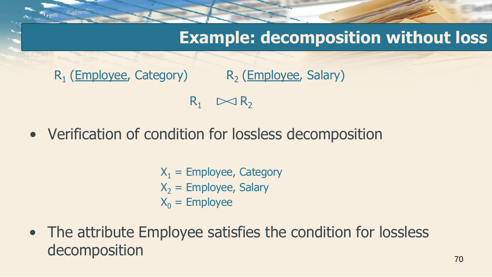#### **Example: decomposition without loss**

 $R_1$  (Employee, Category)  $R_2$ R<sub>2</sub> (Employee, Salary)  $R_1 \quad \bowtie R_2$ 

• Verification of condition for lossless decomposition

$$
X_1 = \text{Employee, Category}
$$
  

$$
X_2 = \text{Employee, Salary}
$$
  

$$
X_0 = \text{Employee}
$$

• The attribute Employee satisfies the condition for lossless decomposition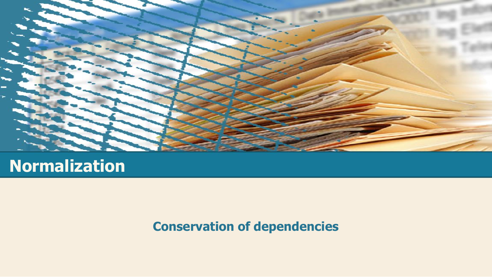

#### **Normalization**

#### **Conservation of dependencies**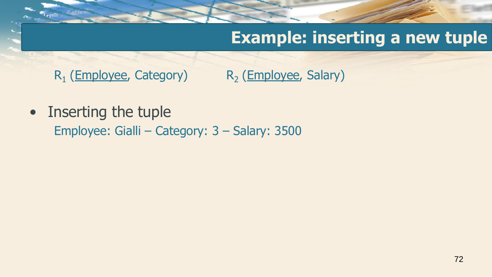## **Example: inserting a new tuple**

 $R_1$  (Employee, Category)  $R_2$ R<sub>2</sub> (Employee, Salary)

• Inserting the tuple Employee: Gialli – Category: 3 – Salary: 3500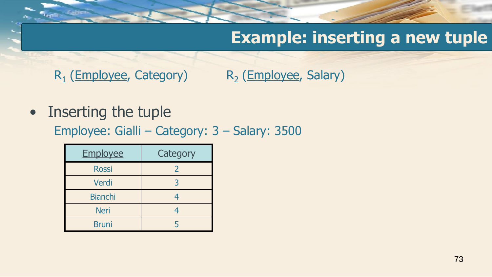$R_1$  (Employee, Category)  $R_2$ R<sub>2</sub> (Employee, Salary)

• Inserting the tuple

Employee: Gialli – Category: 3 – Salary: 3500

| <b>Employee</b> | Category |
|-----------------|----------|
| <b>Rossi</b>    |          |
| Verdi           |          |
| <b>Bianchi</b>  | 4        |
| <b>Neri</b>     | 4        |
| <b>Bruni</b>    |          |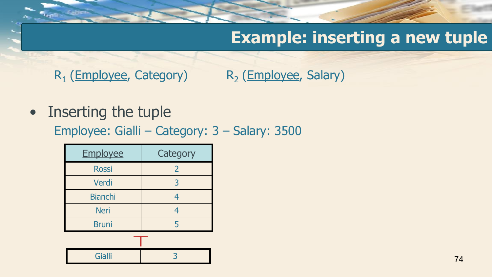$R_1$  (Employee, Category)  $R_2$ R<sub>2</sub> (Employee, Salary)

• Inserting the tuple

Employee: Gialli – Category: 3 – Salary: 3500

| <b>Employee</b> | Category       |
|-----------------|----------------|
| <b>Rossi</b>    | $\overline{2}$ |
| Verdi           | 3              |
| <b>Bianchi</b>  | 4              |
| <b>Neri</b>     | $\overline{4}$ |
| <b>Bruni</b>    | 5              |
|                 |                |
| <b>Gialli</b>   |                |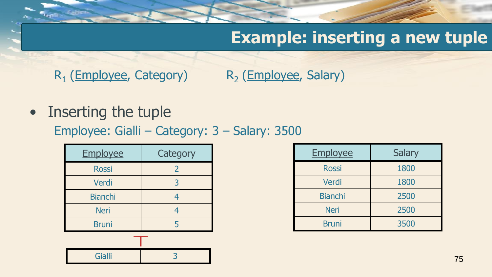$R_1$  (Employee, Category)  $R_2$ R<sub>2</sub> (Employee, Salary)

• Inserting the tuple

Employee: Gialli – Category: 3 – Salary: 3500

| <b>Employee</b> | Category       |
|-----------------|----------------|
| <b>Rossi</b>    | $\overline{2}$ |
| Verdi           | 3              |
| <b>Bianchi</b>  | 4              |
| <b>Neri</b>     | 4              |
| <b>Bruni</b>    | 5              |
|                 |                |

Gialli 3

| Employee       | <b>Salary</b> |
|----------------|---------------|
| <b>Rossi</b>   | 1800          |
| Verdi          | 1800          |
| <b>Bianchi</b> | 2500          |
| <b>Neri</b>    | 2500          |
| <b>Bruni</b>   | 3500          |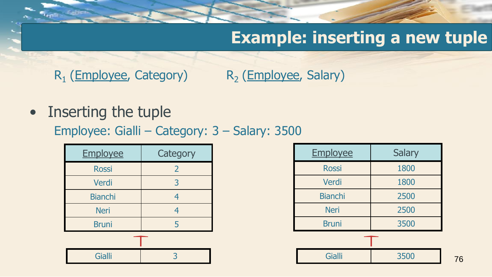$R_1$  (Employee, Category)  $R_2$ R<sub>2</sub> (Employee, Salary)

• Inserting the tuple

Employee: Gialli – Category: 3 – Salary: 3500

| Employee       | Category       |
|----------------|----------------|
| <b>Rossi</b>   | $\overline{2}$ |
| Verdi          | 3              |
| <b>Bianchi</b> | 4              |
| <b>Neri</b>    | 4              |
| <b>Bruni</b>   | 5              |
|                |                |
| <b>Gialli</b>  |                |

| Employee       | <b>Salary</b> |
|----------------|---------------|
| <b>Rossi</b>   | 1800          |
| Verdi          | 1800          |
| <b>Bianchi</b> | 2500          |
| <b>Neri</b>    | 2500          |
| <b>Bruni</b>   | 3500          |
|                |               |
| <b>Gialli</b>  | 3500          |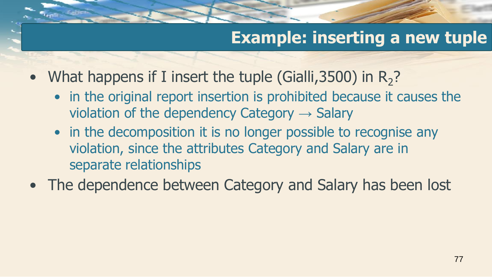- What happens if I insert the tuple (Gialli, 3500) in  $R_2$ ?
	- in the original report insertion is prohibited because it causes the violation of the dependency Category  $\rightarrow$  Salary
	- in the decomposition it is no longer possible to recognise any violation, since the attributes Category and Salary are in separate relationships
- The dependence between Category and Salary has been lost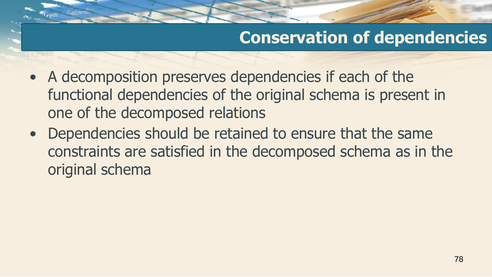# **Conservation of dependencies**

- A decomposition preserves dependencies if each of the functional dependencies of the original schema is present in one of the decomposed relations
- Dependencies should be retained to ensure that the same constraints are satisfied in the decomposed schema as in the original schema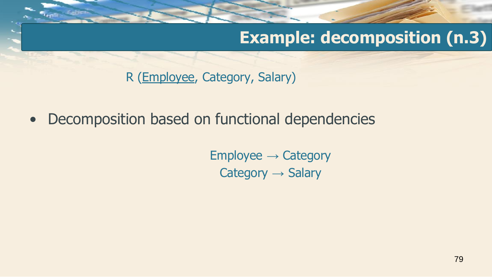# **Example: decomposition (n.3)**

R (Employee, Category, Salary)

• Decomposition based on functional dependencies

 $Employee \rightarrow Category$ Category → Salary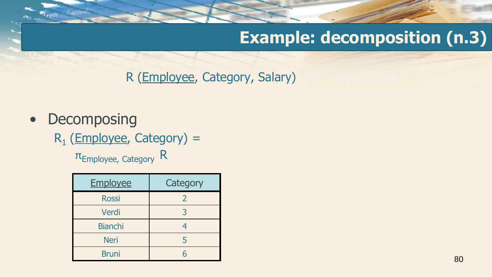# **Example: decomposition (n.3)**

R (Employee, Category, Salary)

- Decomposing
	- R<sub>1</sub> (Employee, Category) =

πEmployee, Category R

| <b>Employee</b> | Category |
|-----------------|----------|
| <b>Rossi</b>    | 2        |
| Verdi           | 3        |
| <b>Bianchi</b>  | 4        |
| <b>Neri</b>     |          |
| <b>Bruni</b>    |          |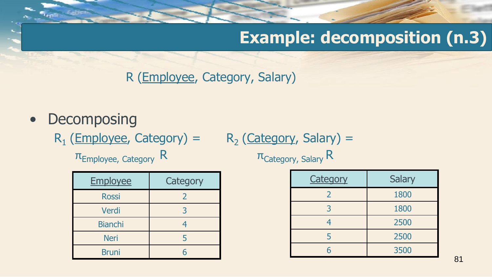# **Example: decomposition (n.3)**

R (Employee, Category, Salary)

- Decomposing
	- $R_1$  (Employee, Category) =  $R_2$

$$
R_2 (Categorical) =
$$

 $\pi_{\text{Employee, category}}$  R  $\pi_{\text{Category}}$  Salary R

| Employee       | Category |
|----------------|----------|
| <b>Rossi</b>   | 2        |
| Verdi          | 3        |
| <b>Bianchi</b> | 4        |
| <b>Neri</b>    |          |
| <b>Bruni</b>   | հ        |

| <b>Category</b> | <b>Salary</b> |
|-----------------|---------------|
| 2               | 1800          |
| 3               | 1800          |
|                 | 2500          |
|                 | 2500          |
| հ               | 3500          |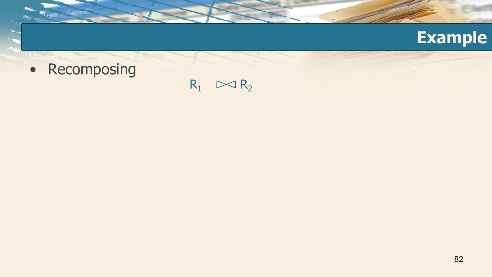

• Recomposing

 $R_1 \sim R_2$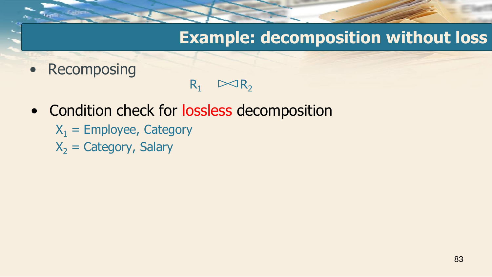#### **Example: decomposition without loss**

• Recomposing

- $R_1 \quad \bowtie R_2$
- Condition check for lossless decomposition
	- $X_1$  = Employee, Category
	- $X_2$  = Category, Salary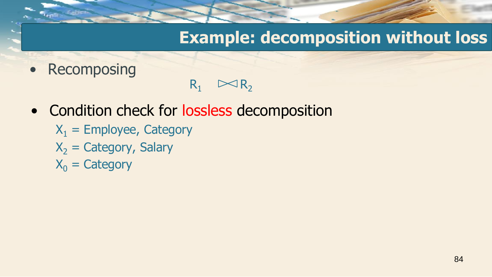### **Example: decomposition without loss**

• Recomposing

- $R_1 \quad \bowtie R_2$
- Condition check for lossless decomposition
	- $X_1$  = Employee, Category
	- $X<sub>2</sub> =$  Category, Salary
	- $X_0$  = Category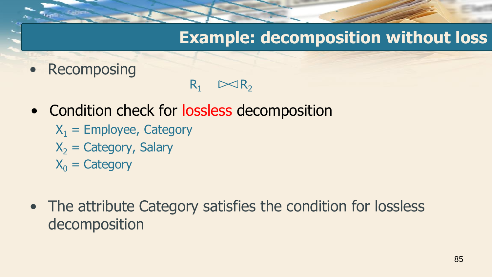### **Example: decomposition without loss**

• Recomposing

- $R_1 \quad \bowtie R_2$
- Condition check for lossless decomposition
	- $X_1$  = Employee, Category
	- $X<sub>2</sub> =$  Category, Salary
	- $X_0$  = Category
- The attribute Category satisfies the condition for lossless decomposition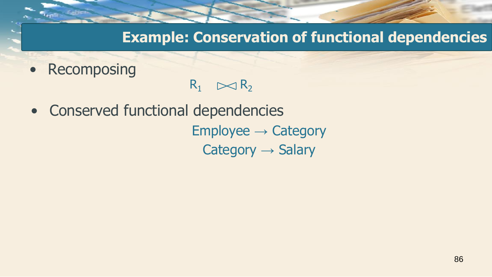**Example: Conservation of functional dependencies**

• Recomposing

- $R_1 \quad \bowtie R_2$
- Conserved functional dependencies

 $Employee \rightarrow Categorical$ Category  $\rightarrow$  Salary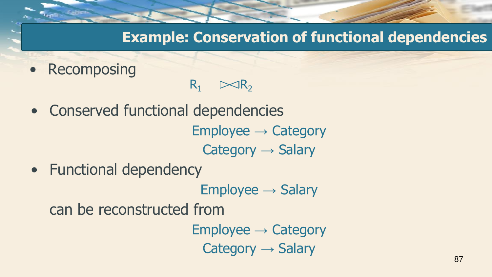**Example: Conservation of functional dependencies**

• Recomposing

- $R_1 \quad \bowtie R_2$
- Conserved functional dependencies

 $Employee \rightarrow Category$ Category  $\rightarrow$  Salary

• Functional dependency

 $Employee \rightarrow Salary$ 

can be reconstructed from

 $Employee \rightarrow Category$ Category  $\rightarrow$  Salary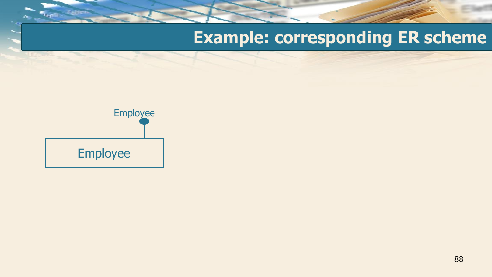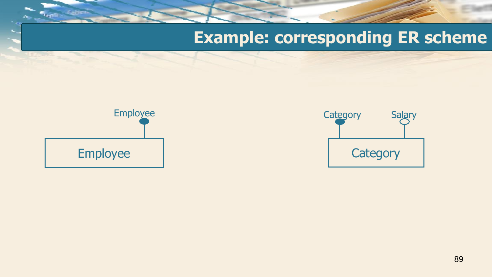

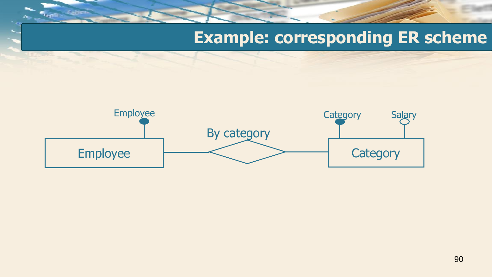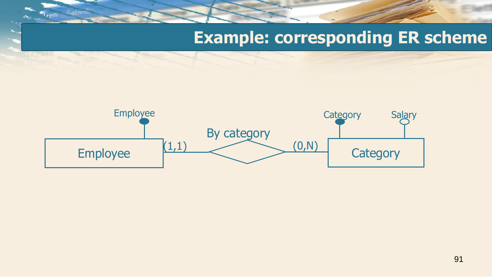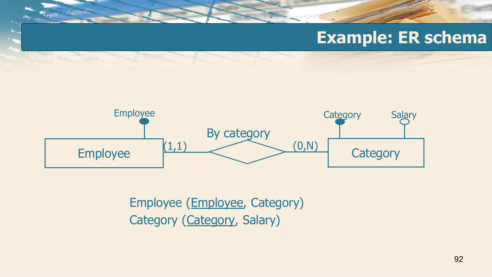#### **Example: ER schema**



Employee (Employee, Category) Category (Category, Salary)